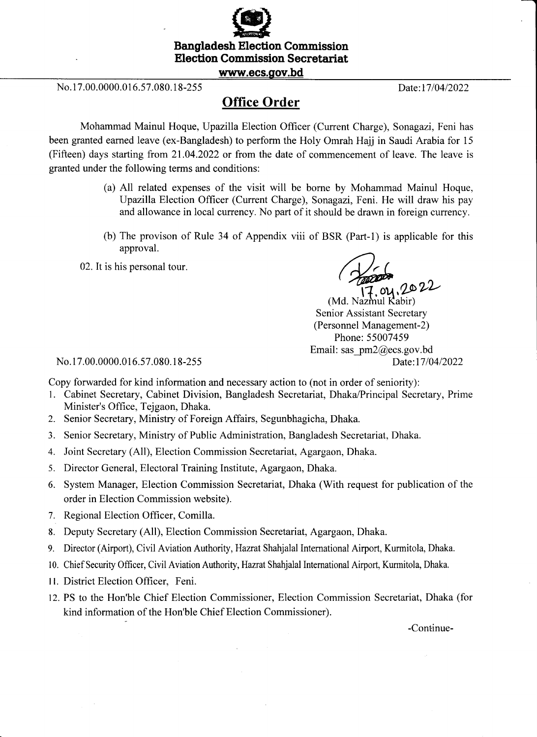

ffi Bangladesh Election Commission **Election Commission Secretariat** 

## www.ecs.gov.bd

No. 17.00.0000.016.57.080.18-255 Date:17/04/2022

## Office Order

Mohammad Mainul Hoque, Upazilla Election Officer (Current Charge), Sonagazi, Feni has been granted earned leave (ex-Bangladesh) to perform the Holy Omrah Hajj in Saudi Arabia for <sup>15</sup> (Fifteen) days starting from 21.04.2022 or from the date of commencement of leave. The leave is granted under the following terms and conditions:

- (a) All related expenses of the visit will be borne by Mohammad Mainul Hoque, Upazilla Election Officer (Current Charge), Sonagazi, Feni. He will draw his pay and allowance in local currency. No part of it should be drawn in foreign currency.
- (b) The provison of Rule 34 of Appendix viii of BSR (Part-l) is applicable for this approval.
- 02. It is his personal tour.

ou, 2022

nul Kabir) Senior Assistant Secretary (Personnel Management-2) Phone: 55007459 Email: sas  $pm2@ecs.gov.bd$ Date:17/04/2022

No. 17.00.0000.016.57.080.18-255

Copy forwarded for kind information and necessary action to (not in order of seniority):

- L Cabinet Secretary, Cabinet Division, Bangladesh Secretariat, Dhaka/Principal Secretary, Prime Minister's Office, Tejgaon, Dhaka.
- 2. Senior Secretary, Ministry of Foreign Affairs, Segunbhagicha, Dhaka.
- 3. Senior Secretary, Ministry of Public Administration, Bangladesh Secretariat, Dhaka.
- 4. Joint Secretary (All), Election Commission Secretariat, Agargaon, Dhaka.
- 5. Director General, Electoral Training Institute, Agargaon, Dhaka.
- 6. System Manager, Election Commission Secretariat, Dhaka (With request for publication of the order in Election Commission website).
- 7. Regional Election Officer, Comilla.
- 8. Deputy Secretary (All), Election Commission Secretariat, Agargaon, Dhaka.
- 9. Director (Airport), Civil Aviation Authority, Hazrat Shahjalal International Airport, Kurmitola, Dhaka.
- 10. Chief Security Officer, Civil Aviation Authority, Hazrat Shahjalal Intemational Airport, Kurmitola, Dhaka.
- <sup>I</sup>l. District Election Officer, Feni.
- 12. PS to the Hon'ble Chief Election Commissioner, Election Commission Secretariat, Dhaka (for kind information of the Hon'ble Chief Election Commissioner).

-Continue-